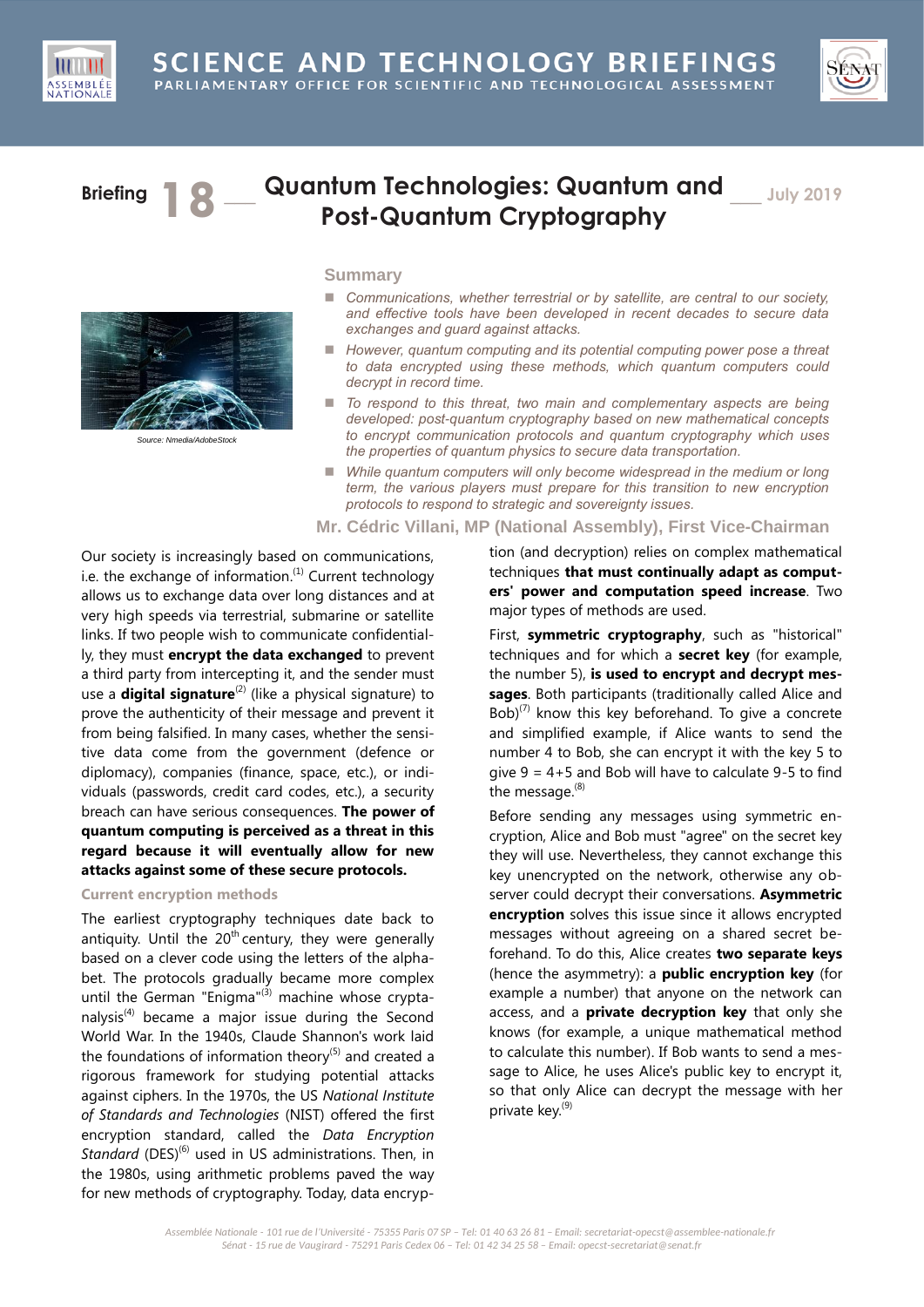



# **Briefing 1 © Quantum Technologies: Quantum and Post-Quantum Cryptography**

\_\_\_ **July 2019**



*Source: Nmedia/AdobeStock*

## **Summary**

- Communications, whether terrestrial or by satellite, are central to our society, *and effective tools have been developed in recent decades to secure data exchanges and guard against attacks.*
- *However, quantum computing and its potential computing power pose a threat to data encrypted using these methods, which quantum computers could decrypt in record time.*
- *To respond to this threat, two main and complementary aspects are being developed: post-quantum cryptography based on new mathematical concepts to encrypt communication protocols and quantum cryptography which uses the properties of quantum physics to secure data transportation.*
- *While quantum computers will only become widespread in the medium or long term, the various players must prepare for this transition to new encryption protocols to respond to strategic and sovereignty issues.*

### **Mr. Cédric Villani, MP (National Assembly), First Vice-Chairman**

Our society is increasingly based on communications, i.e. the exchange of information. $^{(1)}$  Current technology allows us to exchange data over long distances and at very high speeds via terrestrial, submarine or satellite links. If two people wish to communicate confidentially, they must **encrypt the data exchanged** to prevent a third party from intercepting it, and the sender must use a **digital signature**<sup>(2)</sup> (like a physical signature) to prove the authenticity of their message and prevent it from being falsified. In many cases, whether the sensitive data come from the government (defence or diplomacy), companies (finance, space, etc.), or individuals (passwords, credit card codes, etc.), a security breach can have serious consequences. **The power of quantum computing is perceived as a threat in this regard because it will eventually allow for new attacks against some of these secure protocols.**

## **Current encryption methods**

The earliest cryptography techniques date back to antiquity. Until the  $20<sup>th</sup>$  century, they were generally based on a clever code using the letters of the alphabet. The protocols gradually became more complex until the German "Enigma" $(3)$  machine whose cryptanalysis<sup>(4)</sup> became a major issue during the Second World War. In the 1940s, Claude Shannon's work laid the foundations of information theory $(5)$  and created a rigorous framework for studying potential attacks against ciphers. In the 1970s, the US *National Institute of Standards and Technologies* (NIST) offered the first encryption standard, called the *Data Encryption*  Standard (DES)<sup>(6)</sup> used in US administrations. Then, in the 1980s, using arithmetic problems paved the way for new methods of cryptography. Today, data encryption (and decryption) relies on complex mathematical techniques **that must continually adapt as computers' power and computation speed increase**. Two major types of methods are used.

First, **symmetric cryptography**, such as "historical" techniques and for which a **secret key** (for example, the number 5), **is used to encrypt and decrypt messages**. Both participants (traditionally called Alice and  $Bob)^{(7)}$  know this key beforehand. To give a concrete and simplified example, if Alice wants to send the number 4 to Bob, she can encrypt it with the key 5 to give 9 = 4+5 and Bob will have to calculate 9-5 to find the message.<sup>(8)</sup>

Before sending any messages using symmetric encryption, Alice and Bob must "agree" on the secret key they will use. Nevertheless, they cannot exchange this key unencrypted on the network, otherwise any observer could decrypt their conversations. **Asymmetric encryption** solves this issue since it allows encrypted messages without agreeing on a shared secret beforehand. To do this, Alice creates **two separate keys** (hence the asymmetry): a **public encryption key** (for example a number) that anyone on the network can access, and a **private decryption key** that only she knows (for example, a unique mathematical method to calculate this number). If Bob wants to send a message to Alice, he uses Alice's public key to encrypt it, so that only Alice can decrypt the message with her private key.<sup>(9)</sup>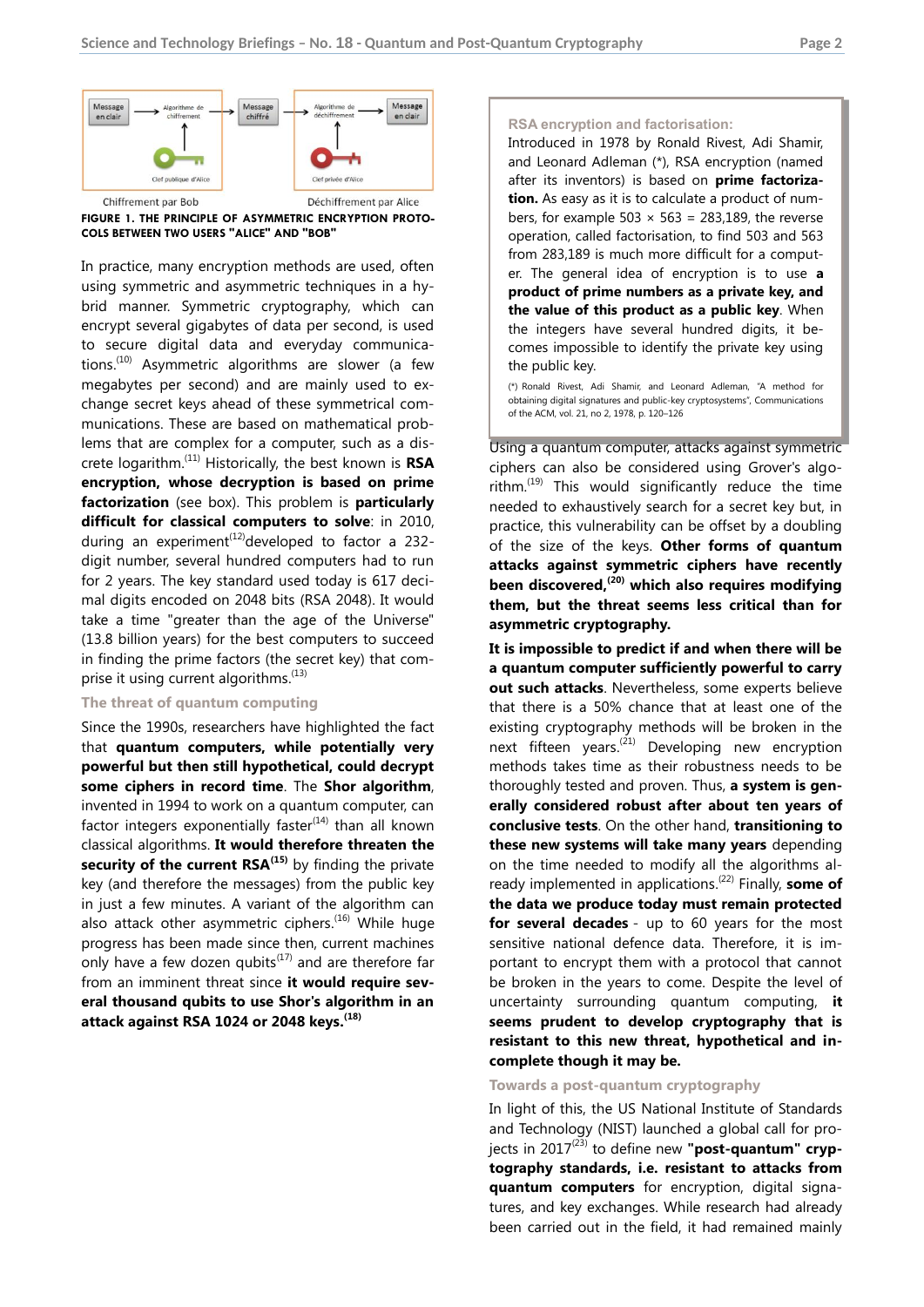

**FIGURE 1. THE PRINCIPLE OF ASYMMETRIC ENCRYPTION PROTO-COLS BETWEEN TWO USERS "ALICE" AND "BOB"**

In practice, many encryption methods are used, often using symmetric and asymmetric techniques in a hybrid manner. Symmetric cryptography, which can encrypt several gigabytes of data per second, is used to secure digital data and everyday communications.<sup>(10)</sup> Asymmetric algorithms are slower (a few megabytes per second) and are mainly used to exchange secret keys ahead of these symmetrical communications. These are based on mathematical problems that are complex for a computer, such as a discrete logarithm. (11) Historically, the best known is **RSA encryption, whose decryption is based on prime factorization** (see box). This problem is **particularly difficult for classical computers to solve**: in 2010, during an experiment<sup>(12)</sup>developed to factor a 232digit number, several hundred computers had to run for 2 years. The key standard used today is 617 decimal digits encoded on 2048 bits (RSA 2048). It would take a time "greater than the age of the Universe" (13.8 billion years) for the best computers to succeed in finding the prime factors (the secret key) that comprise it using current algorithms.<sup>(13)</sup>

## **The threat of quantum computing**

Since the 1990s, researchers have highlighted the fact that **quantum computers, while potentially very powerful but then still hypothetical, could decrypt some ciphers in record time**. The **Shor algorithm**, invented in 1994 to work on a quantum computer, can factor integers exponentially faster<sup>(14)</sup> than all known classical algorithms. **It would therefore threaten the security of the current RSA(15)** by finding the private key (and therefore the messages) from the public key in just a few minutes. A variant of the algorithm can also attack other asymmetric ciphers.<sup>(16)</sup> While huge progress has been made since then, current machines only have a few dozen qubits $^{(17)}$  and are therefore far from an imminent threat since **it would require several thousand qubits to use Shor's algorithm in an attack against RSA 1024 or 2048 keys. (18)**

#### **RSA encryption and factorisation:**

Introduced in 1978 by Ronald Rivest, Adi Shamir, and Leonard Adleman (\*), RSA encryption (named after its inventors) is based on **prime factorization.** As easy as it is to calculate a product of numbers, for example 503  $\times$  563 = 283,189, the reverse operation, called factorisation, to find 503 and 563 from 283,189 is much more difficult for a computer. The general idea of encryption is to use **a product of prime numbers as a private key, and the value of this product as a public key**. When the integers have several hundred digits, it becomes impossible to identify the private key using the public key.

(\*) Ronald Rivest, Adi Shamir, and Leonard Adleman, "A method for obtaining digital signatures and public-key cryptosystems", Communications of the ACM, vol. 21, no 2, 1978, p. 120–126

Using a quantum computer, attacks against symmetric ciphers can also be considered using Grover's algorithm. $^{(19)}$  This would significantly reduce the time needed to exhaustively search for a secret key but, in practice, this vulnerability can be offset by a doubling of the size of the keys. **Other forms of quantum attacks against symmetric ciphers have recently been discovered, (20) which also requires modifying them, but the threat seems less critical than for asymmetric cryptography.**

**It is impossible to predict if and when there will be a quantum computer sufficiently powerful to carry out such attacks**. Nevertheless, some experts believe that there is a 50% chance that at least one of the existing cryptography methods will be broken in the next fifteen years.<sup>(21)</sup> Developing new encryption methods takes time as their robustness needs to be thoroughly tested and proven. Thus, **a system is generally considered robust after about ten years of conclusive tests**. On the other hand, **transitioning to these new systems will take many years** depending on the time needed to modify all the algorithms already implemented in applications.<sup>(22)</sup> Finally, **some of the data we produce today must remain protected for several decades** - up to 60 years for the most sensitive national defence data. Therefore, it is important to encrypt them with a protocol that cannot be broken in the years to come. Despite the level of uncertainty surrounding quantum computing, **it seems prudent to develop cryptography that is resistant to this new threat, hypothetical and incomplete though it may be.**

#### **Towards a post-quantum cryptography**

In light of this, the US National Institute of Standards and Technology (NIST) launched a global call for projects in 2017<sup>(23)</sup> to define new "**post-quantum" cryptography standards, i.e. resistant to attacks from quantum computers** for encryption, digital signatures, and key exchanges. While research had already been carried out in the field, it had remained mainly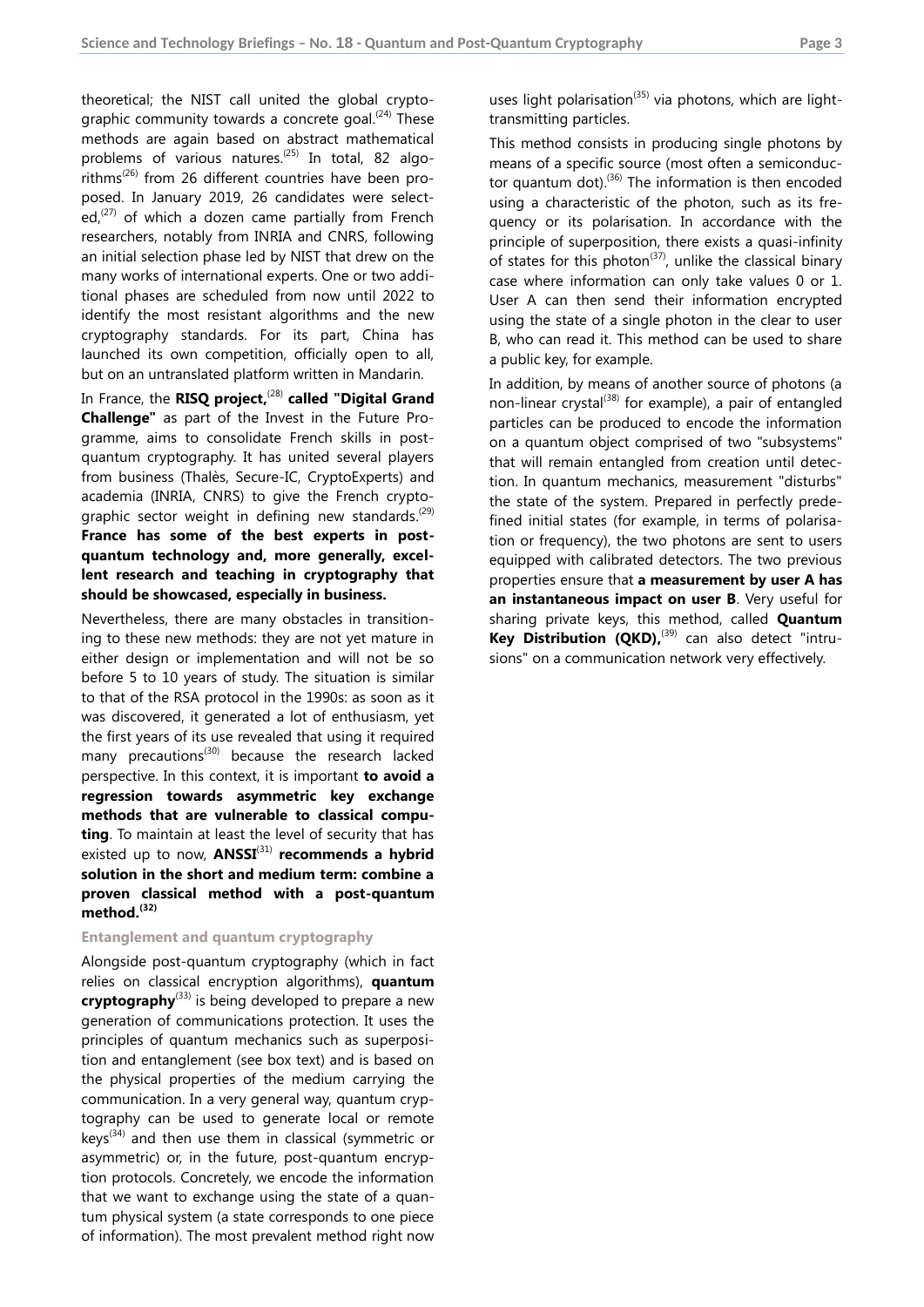theoretical; the NIST call united the global cryptographic community towards a concrete goal.<sup>(24)</sup> These methods are again based on abstract mathematical problems of various natures.<sup>(25)</sup> In total, 82 algorithms<sup>(26)</sup> from 26 different countries have been proposed. In January 2019, 26 candidates were selected,<sup>(27)</sup> of which a dozen came partially from French researchers, notably from INRIA and CNRS, following an initial selection phase led by NIST that drew on the many works of international experts. One or two additional phases are scheduled from now until 2022 to identify the most resistant algorithms and the new cryptography standards. For its part, China has launched its own competition, officially open to all, but on an untranslated platform written in Mandarin.

In France, the **RISQ project,<sup>(28)</sup> called "Digital Grand Challenge"** as part of the Invest in the Future Programme, aims to consolidate French skills in postquantum cryptography. It has united several players from business (Thalès, Secure-IC, CryptoExperts) and academia (INRIA, CNRS) to give the French cryptographic sector weight in defining new standards.<sup>(29)</sup> **France has some of the best experts in postquantum technology and, more generally, excellent research and teaching in cryptography that should be showcased, especially in business.**

Nevertheless, there are many obstacles in transitioning to these new methods: they are not yet mature in either design or implementation and will not be so before 5 to 10 years of study. The situation is similar to that of the RSA protocol in the 1990s: as soon as it was discovered, it generated a lot of enthusiasm, yet the first years of its use revealed that using it required many precautions<sup>(30)</sup> because the research lacked perspective. In this context, it is important **to avoid a regression towards asymmetric key exchange methods that are vulnerable to classical computing**. To maintain at least the level of security that has existed up to now, **ANSSI**<sup>(31)</sup> recommends a hybrid **solution in the short and medium term: combine a proven classical method with a post-quantum method. (32)**

#### **Entanglement and quantum cryptography**

Alongside post-quantum cryptography (which in fact relies on classical encryption algorithms), **quantum cryptography**(33) is being developed to prepare a new generation of communications protection. It uses the principles of quantum mechanics such as superposition and entanglement (see box text) and is based on the physical properties of the medium carrying the communication. In a very general way, quantum cryptography can be used to generate local or remote keys<sup>(34)</sup> and then use them in classical (symmetric or asymmetric) or, in the future, post-quantum encryption protocols. Concretely, we encode the information that we want to exchange using the state of a quantum physical system (a state corresponds to one piece of information). The most prevalent method right now

uses light polarisation<sup>(35)</sup> via photons, which are lighttransmitting particles.

This method consists in producing single photons by means of a specific source (most often a semiconductor quantum dot). $^{(36)}$  The information is then encoded using a characteristic of the photon, such as its frequency or its polarisation. In accordance with the principle of superposition, there exists a quasi-infinity of states for this photon<sup>(37)</sup>, unlike the classical binary case where information can only take values 0 or 1. User A can then send their information encrypted using the state of a single photon in the clear to user B, who can read it. This method can be used to share a public key, for example.

In addition, by means of another source of photons (a non-linear crystal<sup>(38)</sup> for example), a pair of entangled particles can be produced to encode the information on a quantum object comprised of two "subsystems" that will remain entangled from creation until detection. In quantum mechanics, measurement "disturbs" the state of the system. Prepared in perfectly predefined initial states (for example, in terms of polarisation or frequency), the two photons are sent to users equipped with calibrated detectors. The two previous properties ensure that **a measurement by user A has an instantaneous impact on user B**. Very useful for sharing private keys, this method, called **Quantum**  Key Distribution (QKD),<sup>(39)</sup> can also detect "intrusions" on a communication network very effectively.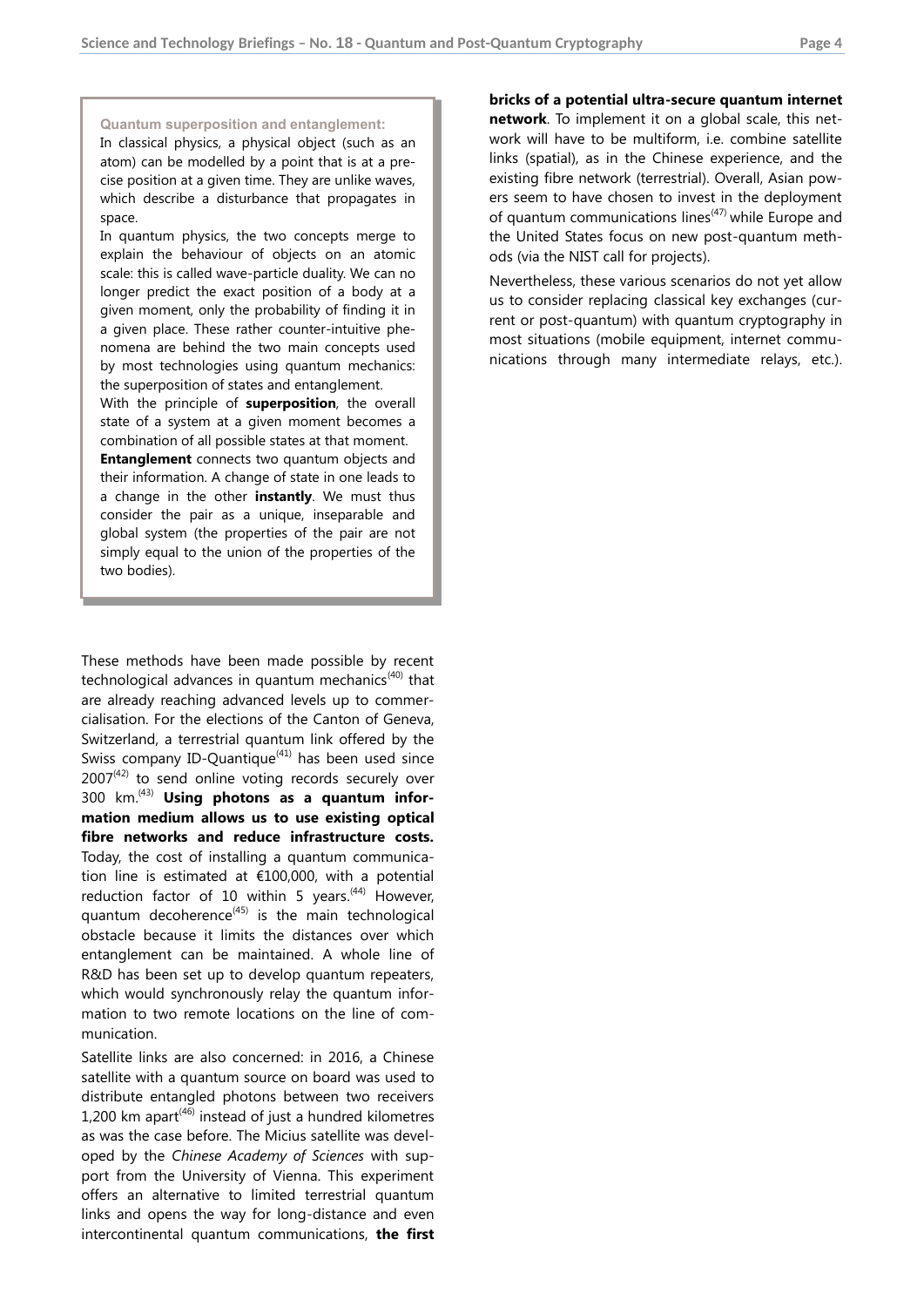#### **Quantum superposition and entanglement:**

In classical physics, a physical object (such as an atom) can be modelled by a point that is at a precise position at a given time. They are unlike waves, which describe a disturbance that propagates in space.

In quantum physics, the two concepts merge to explain the behaviour of objects on an atomic scale: this is called wave-particle duality. We can no longer predict the exact position of a body at a given moment, only the probability of finding it in a given place. These rather counter-intuitive phenomena are behind the two main concepts used by most technologies using quantum mechanics: the superposition of states and entanglement.

With the principle of **superposition**, the overall state of a system at a given moment becomes a combination of all possible states at that moment.

**Entanglement** connects two quantum objects and their information. A change of state in one leads to a change in the other **instantly**. We must thus consider the pair as a unique, inseparable and global system (the properties of the pair are not simply equal to the union of the properties of the two bodies).

These methods have been made possible by recent technological advances in quantum mechanics<sup>(40)</sup> that are already reaching advanced levels up to commercialisation. For the elections of the Canton of Geneva, Switzerland, a terrestrial quantum link offered by the Swiss company ID-Quantique<sup>(41)</sup> has been used since  $2007<sup>(42)</sup>$  to send online voting records securely over 300 km. (43) **Using photons as a quantum information medium allows us to use existing optical fibre networks and reduce infrastructure costs.** Today, the cost of installing a quantum communication line is estimated at €100,000, with a potential reduction factor of 10 within 5 years. $(44)$  However, quantum decoherence<sup> $(45)$ </sup> is the main technological obstacle because it limits the distances over which entanglement can be maintained. A whole line of R&D has been set up to develop quantum repeaters, which would synchronously relay the quantum information to two remote locations on the line of communication.

Satellite links are also concerned: in 2016, a Chinese satellite with a quantum source on board was used to distribute entangled photons between two receivers 1,200 km apart $(46)$  instead of just a hundred kilometres as was the case before. The Micius satellite was developed by the *Chinese Academy of Sciences* with support from the University of Vienna. This experiment offers an alternative to limited terrestrial quantum links and opens the way for long-distance and even intercontinental quantum communications, **the first** 

**bricks of a potential ultra-secure quantum internet network**. To implement it on a global scale, this network will have to be multiform, i.e. combine satellite links (spatial), as in the Chinese experience, and the existing fibre network (terrestrial). Overall, Asian powers seem to have chosen to invest in the deployment of quantum communications lines $(47)$  while Europe and the United States focus on new post-quantum methods (via the NIST call for projects).

Nevertheless, these various scenarios do not yet allow us to consider replacing classical key exchanges (current or post-quantum) with quantum cryptography in most situations (mobile equipment, internet communications through many intermediate relays, etc.).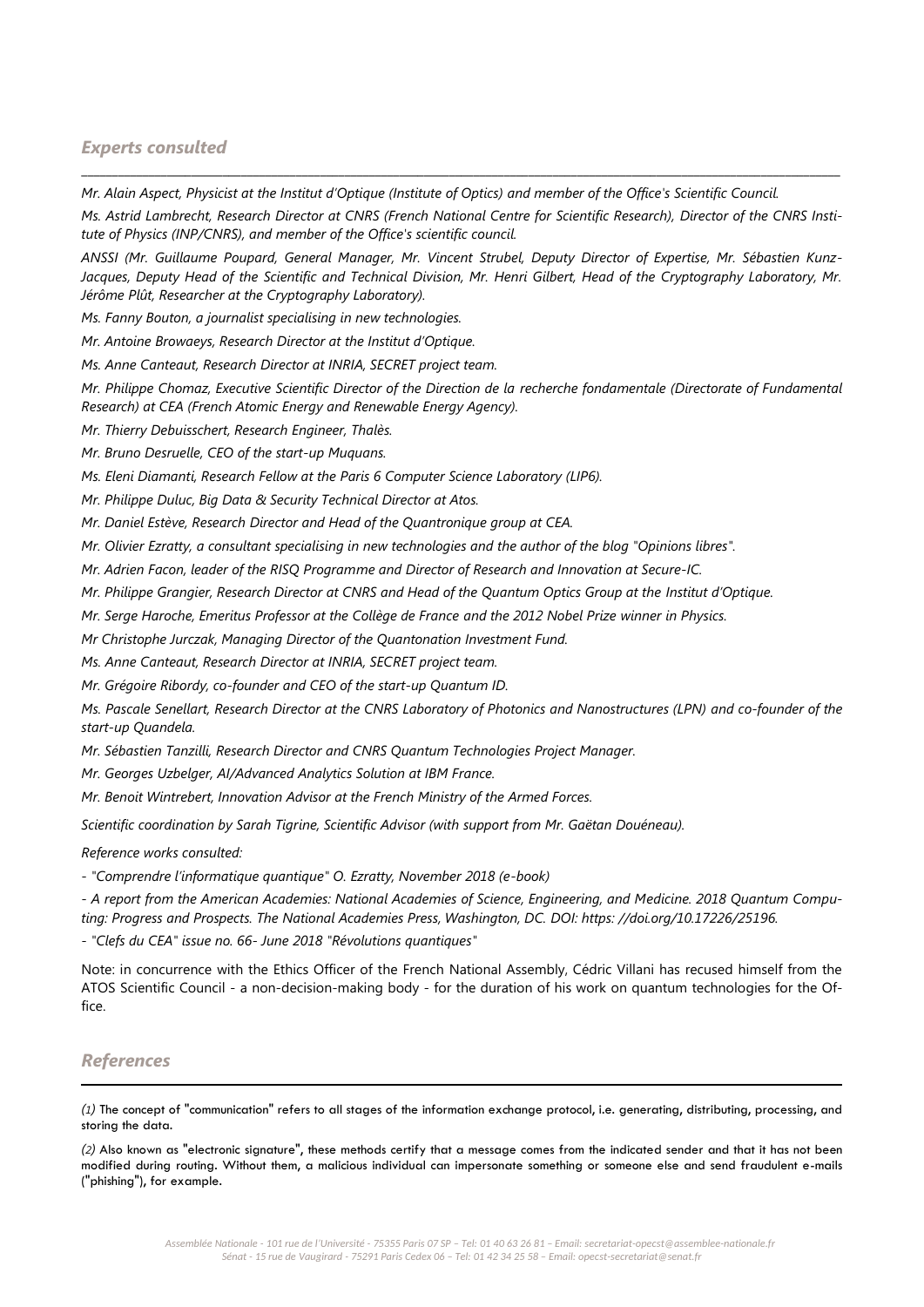# *Experts consulted*

*Mr. Alain Aspect, Physicist at the Institut d'Optique (Institute of Optics) and member of the Office's Scientific Council.*

*Ms. Astrid Lambrecht, Research Director at CNRS (French National Centre for Scientific Research), Director of the CNRS Institute of Physics (INP/CNRS), and member of the Office's scientific council.*

\_\_\_\_\_\_\_\_\_\_\_\_\_\_\_\_\_\_\_\_\_\_\_\_\_\_\_\_\_\_\_\_\_\_\_\_\_\_\_\_\_\_\_\_\_\_\_\_\_\_\_\_\_\_\_\_\_\_\_\_\_\_\_\_\_\_\_\_\_\_\_\_\_\_\_\_\_\_\_\_\_\_\_\_\_\_\_\_\_\_\_\_\_\_\_\_\_\_\_\_\_\_\_\_\_\_\_\_\_\_\_\_\_\_\_\_\_\_\_\_\_\_\_\_

*ANSSI (Mr. Guillaume Poupard, General Manager, Mr. Vincent Strubel, Deputy Director of Expertise, Mr. Sébastien Kunz-*Jacques, Deputy Head of the Scientific and Technical Division, Mr. Henri Gilbert, Head of the Cryptography Laboratory, Mr. *Jérôme Plût, Researcher at the Cryptography Laboratory).*

*Ms. Fanny Bouton, a journalist specialising in new technologies.*

*Mr. Antoine Browaeys, Research Director at the Institut d'Optique.*

*Ms. Anne Canteaut, Research Director at INRIA, SECRET project team.*

*Mr. Philippe Chomaz, Executive Scientific Director of the Direction de la recherche fondamentale (Directorate of Fundamental Research) at CEA (French Atomic Energy and Renewable Energy Agency).*

*Mr. Thierry Debuisschert, Research Engineer, Thalès.*

*Mr. Bruno Desruelle, CEO of the start-up Muquans.*

*Ms. Eleni Diamanti, Research Fellow at the Paris 6 Computer Science Laboratory (LIP6).*

*Mr. Philippe Duluc, Big Data & Security Technical Director at Atos.*

*Mr. Daniel Estève, Research Director and Head of the Quantronique group at CEA.*

*Mr. Olivier Ezratty, a consultant specialising in new technologies and the author of the blog "Opinions libres".*

*Mr. Adrien Facon, leader of the RISQ Programme and Director of Research and Innovation at Secure-IC.*

*Mr. Philippe Grangier, Research Director at CNRS and Head of the Quantum Optics Group at the Institut d'Optique.*

*Mr. Serge Haroche, Emeritus Professor at the Collège de France and the 2012 Nobel Prize winner in Physics.*

*Mr Christophe Jurczak, Managing Director of the Quantonation Investment Fund.*

*Ms. Anne Canteaut, Research Director at INRIA, SECRET project team.*

*Mr. Grégoire Ribordy, co-founder and CEO of the start-up Quantum ID.*

*Ms. Pascale Senellart, Research Director at the CNRS Laboratory of Photonics and Nanostructures (LPN) and co-founder of the start-up Quandela.*

*Mr. Sébastien Tanzilli, Research Director and CNRS Quantum Technologies Project Manager.*

*Mr. Georges Uzbelger, AI/Advanced Analytics Solution at IBM France.*

*Mr. Benoit Wintrebert, Innovation Advisor at the French Ministry of the Armed Forces.*

*Scientific coordination by Sarah Tigrine, Scientific Advisor (with support from Mr. Gaëtan Douéneau).*

*Reference works consulted:*

*- "Comprendre l'informatique quantique" O. Ezratty, November 2018 (e-book)*

*- A report from the American Academies: National Academies of Science, Engineering, and Medicine. 2018 Quantum Computing: Progress and Prospects. The National Academies Press, Washington, DC. DOI: https: //doi.org/10.17226/25196.*

*- "Clefs du CEA" issue no. 66- June 2018 "Révolutions quantiques"*

Note: in concurrence with the Ethics Officer of the French National Assembly, Cédric Villani has recused himself from the ATOS Scientific Council - a non-decision-making body - for the duration of his work on quantum technologies for the Office.

# *References*

-

*(1)* The concept of "communication" refers to all stages of the information exchange protocol, i.e. generating, distributing, processing, and storing the data.

*(2)* Also known as "electronic signature", these methods certify that a message comes from the indicated sender and that it has not been modified during routing. Without them, a malicious individual can impersonate something or someone else and send fraudulent e-mails ("phishing"), for example.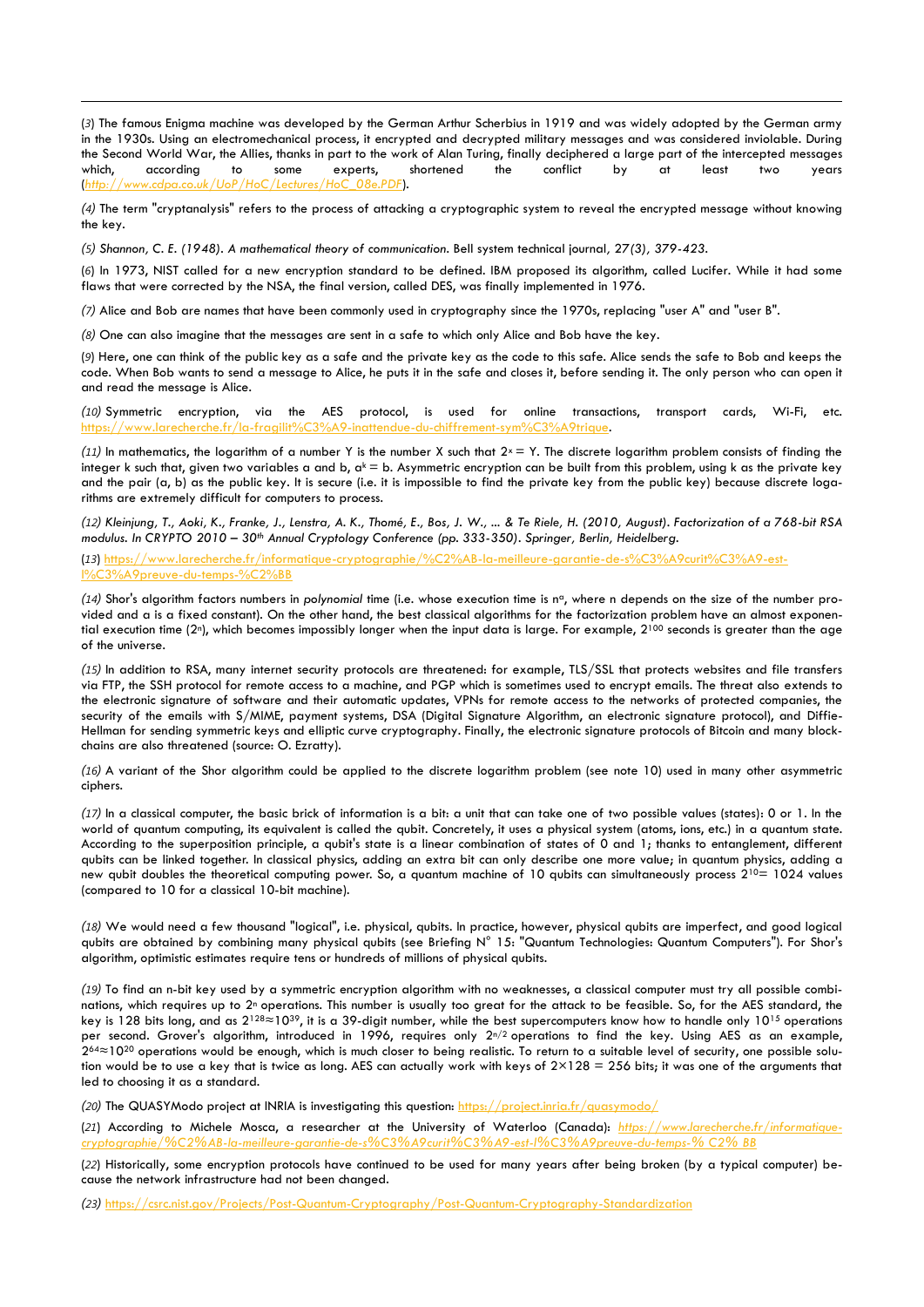(*3*) The famous Enigma machine was developed by the German Arthur Scherbius in 1919 and was widely adopted by the German army in the 1930s. Using an electromechanical process, it encrypted and decrypted military messages and was considered inviolable. During the Second World War, the Allies, thanks in part to the work of Alan Turing, finally deciphered a large part of the intercepted messages which, according to some experts, shortened the conflict by at least two years (*[http://www.cdpa.co.uk/UoP/HoC/Lectures/HoC\\_08e.PDF](http://www.cdpa.co.uk/UoP/HoC/Lectures/HoC_08e.PDF)*).

*(4)* The term "cryptanalysis" refers to the process of attacking a cryptographic system to reveal the encrypted message without knowing the key.

*(5) Shannon, C. E. (1948). A mathematical theory of communication.* Bell system technical journal*,* 27*(3), 379-423.*

(*6*) In 1973, NIST called for a new encryption standard to be defined. IBM proposed its algorithm, called Lucifer. While it had some flaws that were corrected by the NSA, the final version, called DES, was finally implemented in 1976.

*(7)* Alice and Bob are names that have been commonly used in cryptography since the 1970s, replacing "user A" and "user B".

*(8)* One can also imagine that the messages are sent in a safe to which only Alice and Bob have the key.

-

(*9*) Here, one can think of the public key as a safe and the private key as the code to this safe. Alice sends the safe to Bob and keeps the code. When Bob wants to send a message to Alice, he puts it in the safe and closes it, before sending it. The only person who can open it and read the message is Alice.

*(10)* Symmetric encryption, via the AES protocol, is used for online transactions, transport cards, Wi-Fi, etc. [https://www.larecherche.fr/la-fragilit%C3%A9-inattendue-du-chiffrement-sym%C3%A9trique.](https://www.larecherche.fr/la-fragilité-inattendue-du-chiffrement-symétrique)

(11) In mathematics, the logarithm of a number Y is the number X such that  $2^x = Y$ . The discrete logarithm problem consists of finding the integer k such that, given two variables a and b,  $a^k = b$ . Asymmetric encryption can be built from this problem, using k as the private key and the pair (a, b) as the public key. It is secure (i.e. it is impossible to find the private key from the public key) because discrete logarithms are extremely difficult for computers to process.

*(12) Kleinjung, T., Aoki, K., Franke, J., Lenstra, A. K., Thomé, E., Bos, J. W., ... & Te Riele, H. (2010, August). Factorization of a 768-bit RSA modulus. In CRYPTO 2010 – 30th Annual Cryptology Conference (pp. 333-350). Springer, Berlin, Heidelberg.*

(*13*) [https://www.larecherche.fr/informatique-cryptographie/%C2%AB-la-meilleure-garantie-de-s%C3%A9curit%C3%A9-est-](https://www.larecherche.fr/informatique-cryptographie/)%A9preuve-du-temps-

*(14)* Shor's algorithm factors numbers in *polynomial* time (i.e. whose execution time is n<sup>a</sup>, where n depends on the size of the number provided and a is a fixed constant). On the other hand, the best classical algorithms for the factorization problem have an almost exponential execution time (2<sup>n</sup>), which becomes impossibly longer when the input data is large. For example, 2<sup>100</sup> seconds is greater than the age of the universe.

*(15)* In addition to RSA, many internet security protocols are threatened: for example, TLS/SSL that protects websites and file transfers via FTP, the SSH protocol for remote access to a machine, and PGP which is sometimes used to encrypt emails. The threat also extends to the electronic signature of software and their automatic updates, VPNs for remote access to the networks of protected companies, the security of the emails with S/MIME, payment systems, DSA (Digital Signature Algorithm, an electronic signature protocol), and Diffie-Hellman for sending symmetric keys and elliptic curve cryptography. Finally, the electronic signature protocols of Bitcoin and many blockchains are also threatened (source: O. Ezratty).

*(16)* A variant of the Shor algorithm could be applied to the discrete logarithm problem (see note 10) used in many other asymmetric ciphers.

*(17)* In a classical computer, the basic brick of information is a bit: a unit that can take one of two possible values (states): 0 or 1. In the world of quantum computing, its equivalent is called the qubit. Concretely, it uses a physical system (atoms, ions, etc.) in a quantum state. According to the superposition principle, a qubit's state is a linear combination of states of 0 and 1; thanks to entanglement, different qubits can be linked together. In classical physics, adding an extra bit can only describe one more value; in quantum physics, adding a new qubit doubles the theoretical computing power. So, a quantum machine of 10 qubits can simultaneously process 2<sup>10</sup>= 1024 values (compared to 10 for a classical 10-bit machine).

*(18)* We would need a few thousand "logical", i.e. physical, qubits. In practice, however, physical qubits are imperfect, and good logical qubits are obtained by combining many physical qubits (see Briefing N° 15: "Quantum Technologies: Quantum Computers"). For Shor's algorithm, optimistic estimates require tens or hundreds of millions of physical qubits.

*(19)* To find an n-bit key used by a symmetric encryption algorithm with no weaknesses, a classical computer must try all possible combinations, which requires up to 2<sup>n</sup> operations. This number is usually too great for the attack to be feasible. So, for the AES standard, the key is 128 bits long, and as 2<sup>128≈</sup>10<sup>39</sup>, it is a 39-digit number, while the best supercomputers know how to handle only 10<sup>15</sup> operations per second. Grover's algorithm, introduced in 1996, requires only  $2^{n/2}$  operations to find the key. Using AES as an example, 264≈10<sup>20</sup> operations would be enough, which is much closer to being realistic. To return to a suitable level of security, one possible solution would be to use a key that is twice as long. AES can actually work with keys of  $2\times128 = 256$  bits; it was one of the arguments that led to choosing it as a standard.

*(20)* The QUASYModo project at INRIA is investigating this question:<https://project.inria.fr/quasymodo/>

(*21*) According to Michele Mosca, a researcher at the University of Waterloo (Canada): *[https://www.larecherche.fr/informatique](https://www.larecherche.fr/informatique-cryptographie/)[cryptographie/%C2%AB-la-meilleure-garantie-de-s%C3%A9curit%C3%A9-est-l%C3%A9preuve-du-temps-% C2% BB](https://www.larecherche.fr/informatique-cryptographie/)*

(*22*) Historically, some encryption protocols have continued to be used for many years after being broken (by a typical computer) because the network infrastructure had not been changed.

*(23)* <https://csrc.nist.gov/Projects/Post-Quantum-Cryptography/Post-Quantum-Cryptography-Standardization>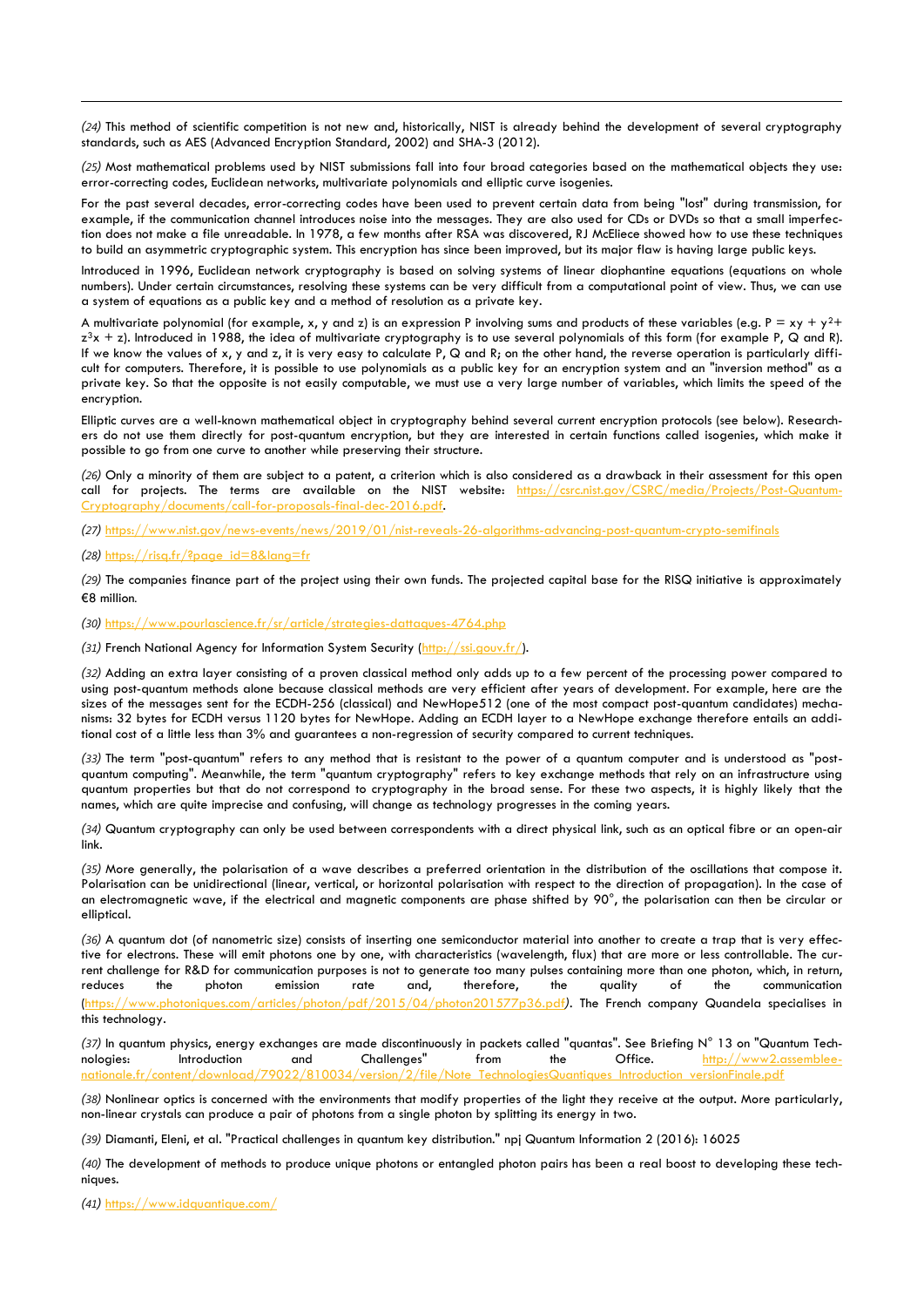*(24)* This method of scientific competition is not new and, historically, NIST is already behind the development of several cryptography standards, such as AES (Advanced Encryption Standard, 2002) and SHA-3 (2012).

*(25)* Most mathematical problems used by NIST submissions fall into four broad categories based on the mathematical objects they use: error-correcting codes, Euclidean networks, multivariate polynomials and elliptic curve isogenies.

For the past several decades, error-correcting codes have been used to prevent certain data from being "lost" during transmission, for example, if the communication channel introduces noise into the messages. They are also used for CDs or DVDs so that a small imperfection does not make a file unreadable. In 1978, a few months after RSA was discovered, RJ McEliece showed how to use these techniques to build an asymmetric cryptographic system. This encryption has since been improved, but its major flaw is having large public keys.

Introduced in 1996, Euclidean network cryptography is based on solving systems of linear diophantine equations (equations on whole numbers). Under certain circumstances, resolving these systems can be very difficult from a computational point of view. Thus, we can use a system of equations as a public key and a method of resolution as a private key.

A multivariate polynomial (for example, x, y and z) is an expression P involving sums and products of these variables (e.g.  $P = xy + y^2 +$  $z^3x + z$ ). Introduced in 1988, the idea of multivariate cryptography is to use several polynomials of this form (for example P, Q and R). If we know the values of x, y and z, it is very easy to calculate P, Q and R; on the other hand, the reverse operation is particularly difficult for computers. Therefore, it is possible to use polynomials as a public key for an encryption system and an "inversion method" as a private key. So that the opposite is not easily computable, we must use a very large number of variables, which limits the speed of the encryption.

Elliptic curves are a well-known mathematical object in cryptography behind several current encryption protocols (see below). Researchers do not use them directly for post-quantum encryption, but they are interested in certain functions called isogenies, which make it possible to go from one curve to another while preserving their structure.

*(26)* Only a minority of them are subject to a patent, a criterion which is also considered as a drawback in their assessment for this open call for projects. The terms are available on the NIST website: [https://csrc.nist.gov/CSRC/media/Projects/Post-Quantum](https://csrc.nist.gov/CSRC/media/Projects/Post-Quantum-Cryptography/documents/call-for-proposals-final-dec-2016.pdf) $ments/call-for-proposals-final-dec-2016.pdf$ 

*(27)* <https://www.nist.gov/news-events/news/2019/01/nist-reveals-26-algorithms-advancing-post-quantum-crypto-semifinals>

#### *(28)* [https://risq.fr/?page\\_id=8&lang=fr](https://risq.fr/?page_id=8&lang=fr)

-

*(29)* The companies finance part of the project using their own funds. The projected capital base for the RISQ initiative is approximately €8 million*.*

*(30)* <https://www.pourlascience.fr/sr/article/strategies-dattaques-4764.php>

*(31)* French National Agency for Information System Security [\(http://ssi.gouv.fr/\).](http://ssi.gouv.fr/)

*(32)* Adding an extra layer consisting of a proven classical method only adds up to a few percent of the processing power compared to using post-quantum methods alone because classical methods are very efficient after years of development. For example, here are the sizes of the messages sent for the ECDH-256 (classical) and NewHope512 (one of the most compact post-quantum candidates) mechanisms: 32 bytes for ECDH versus 1120 bytes for NewHope. Adding an ECDH layer to a NewHope exchange therefore entails an additional cost of a little less than 3% and guarantees a non-regression of security compared to current techniques.

*(33)* The term "post-quantum" refers to any method that is resistant to the power of a quantum computer and is understood as "postquantum computing". Meanwhile, the term "quantum cryptography" refers to key exchange methods that rely on an infrastructure using quantum properties but that do not correspond to cryptography in the broad sense. For these two aspects, it is highly likely that the names, which are quite imprecise and confusing, will change as technology progresses in the coming years.

*(34)* Quantum cryptography can only be used between correspondents with a direct physical link, such as an optical fibre or an open-air link.

*(35)* More generally, the polarisation of a wave describes a preferred orientation in the distribution of the oscillations that compose it. Polarisation can be unidirectional (linear, vertical, or horizontal polarisation with respect to the direction of propagation). In the case of an electromagnetic wave, if the electrical and magnetic components are phase shifted by 90°, the polarisation can then be circular or elliptical.

*(36)* A quantum dot (of nanometric size) consists of inserting one semiconductor material into another to create a trap that is very effective for electrons. These will emit photons one by one, with characteristics (wavelength, flux) that are more or less controllable. The current challenge for R&D for communication purposes is not to generate too many pulses containing more than one photon, which, in return, reduces the photon emission rate and, therefore, the quality of the communication [\(https://www.photoniques.com/articles/photon/pdf/2015/04/photon201577p36.pdf](https://www.photoniques.com/articles/photon/pdf/2015/04/photon201577p36.pdf)*)*. The French company Quandela specialises in this technology.

*(37)* In quantum physics, energy exchanges are made discontinuously in packets called "quantas". See Briefing N° 13 on "Quantum Technologies: Introduction and Challenges" from the Office. [http://www2.assemblee](http://www2.assemblee-nationale.fr/content/download/79022/810034/version/2/file/Note_TechnologiesQuantiques_Introduction_versionFinale.pdf)[nationale.fr/content/download/79022/810034/version/2/file/Note\\_TechnologiesQuantiques\\_Introduction\\_versionFinale.pdf](http://www2.assemblee-nationale.fr/content/download/79022/810034/version/2/file/Note_TechnologiesQuantiques_Introduction_versionFinale.pdf)

*(38)* Nonlinear optics is concerned with the environments that modify properties of the light they receive at the output. More particularly, non-linear crystals can produce a pair of photons from a single photon by splitting its energy in two.

*(39)* Diamanti, Eleni, et al. "Practical challenges in quantum key distribution." npj Quantum Information 2 (2016): 16025

*(40)* The development of methods to produce unique photons or entangled photon pairs has been a real boost to developing these techniques.

*(41)* <https://www.idquantique.com/>